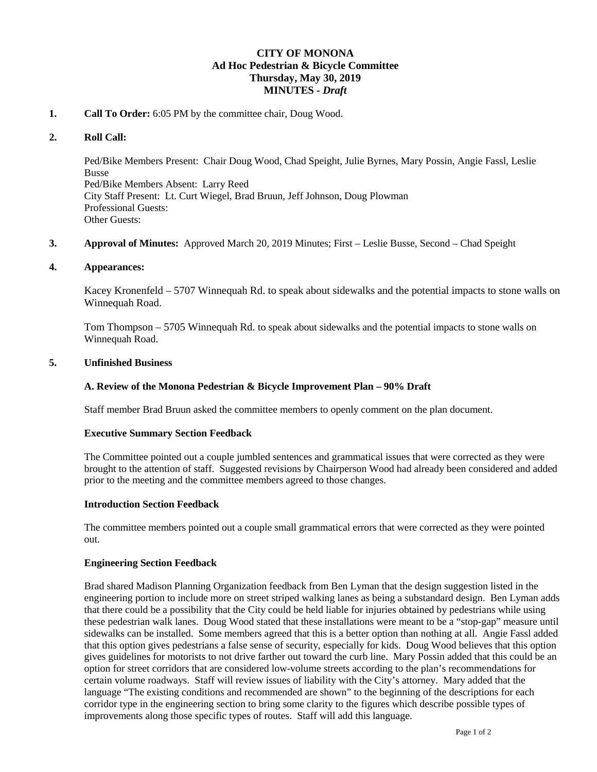# **CITY OF MONONA Ad Hoc Pedestrian & Bicycle Committee Thursday, May 30, 2019 MINUTES** *- Draft*

# **1. Call To Order:** 6:05 PM by the committee chair, Doug Wood.

## **2. Roll Call:**

Ped/Bike Members Present: Chair Doug Wood, Chad Speight, Julie Byrnes, Mary Possin, Angie Fassl, Leslie Busse Ped/Bike Members Absent: Larry Reed City Staff Present: Lt. Curt Wiegel, Brad Bruun, Jeff Johnson, Doug Plowman Professional Guests: Other Guests:

**3. Approval of Minutes:** Approved March 20, 2019 Minutes; First – Leslie Busse, Second – Chad Speight

#### **4. Appearances:**

Kacey Kronenfeld – 5707 Winnequah Rd. to speak about sidewalks and the potential impacts to stone walls on Winnequah Road.

Tom Thompson – 5705 Winnequah Rd. to speak about sidewalks and the potential impacts to stone walls on Winnequah Road.

# **5. Unfinished Business**

## **A. Review of the Monona Pedestrian & Bicycle Improvement Plan – 90% Draft**

Staff member Brad Bruun asked the committee members to openly comment on the plan document.

## **Executive Summary Section Feedback**

The Committee pointed out a couple jumbled sentences and grammatical issues that were corrected as they were brought to the attention of staff. Suggested revisions by Chairperson Wood had already been considered and added prior to the meeting and the committee members agreed to those changes.

#### **Introduction Section Feedback**

The committee members pointed out a couple small grammatical errors that were corrected as they were pointed out.

#### **Engineering Section Feedback**

Brad shared Madison Planning Organization feedback from Ben Lyman that the design suggestion listed in the engineering portion to include more on street striped walking lanes as being a substandard design. Ben Lyman adds that there could be a possibility that the City could be held liable for injuries obtained by pedestrians while using these pedestrian walk lanes. Doug Wood stated that these installations were meant to be a "stop-gap" measure until sidewalks can be installed. Some members agreed that this is a better option than nothing at all. Angie Fassl added that this option gives pedestrians a false sense of security, especially for kids. Doug Wood believes that this option gives guidelines for motorists to not drive farther out toward the curb line. Mary Possin added that this could be an option for street corridors that are considered low-volume streets according to the plan's recommendations for certain volume roadways. Staff will review issues of liability with the City's attorney. Mary added that the language "The existing conditions and recommended are shown" to the beginning of the descriptions for each corridor type in the engineering section to bring some clarity to the figures which describe possible types of improvements along those specific types of routes. Staff will add this language.